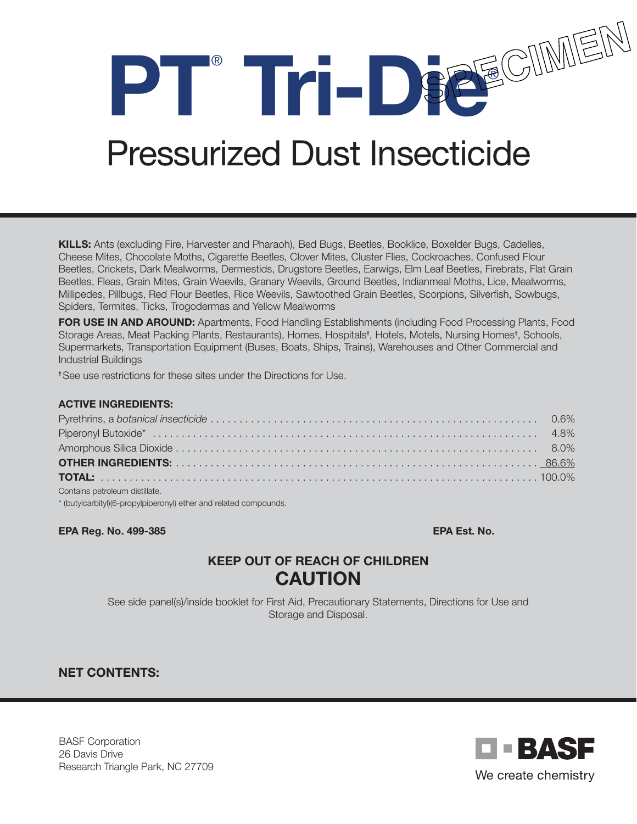**PT**®  **Tri-Die**®

# Pressurized Dust Insecticide

KILLS: Ants (excluding Fire, Harvester and Pharaoh), Bed Bugs, Beetles, Booklice, Boxelder Bugs, Cadelles, Cheese Mites, Chocolate Moths, Cigarette Beetles, Clover Mites, Cluster Flies, Cockroaches, Confused Flour Beetles, Crickets, Dark Mealworms, Dermestids, Drugstore Beetles, Earwigs, Elm Leaf Beetles, Firebrats, Flat Grain Beetles, Fleas, Grain Mites, Grain Weevils, Granary Weevils, Ground Beetles, Indianmeal Moths, Lice, Mealworms, Millipedes, Pillbugs, Red Flour Beetles, Rice Weevils, Sawtoothed Grain Beetles, Scorpions, Silverfish, Sowbugs, Spiders, Termites, Ticks, Trogodermas and Yellow Mealworms

FOR USE IN AND AROUND: Apartments, Food Handling Establishments (including Food Processing Plants, Food Storage Areas, Meat Packing Plants, Restaurants), Homes, Hospitals† , Hotels, Motels, Nursing Homes† , Schools, Supermarkets, Transportation Equipment (Buses, Boats, Ships, Trains), Warehouses and Other Commercial and Industrial Buildings

† See use restrictions for these sites under the Directions for Use.

#### ACTIVE INGREDIENTS:

| Contains petroleum distillate. |  |
|--------------------------------|--|

\* (butylcarbityl)(6-propylpiperonyl) ether and related compounds.

#### EPA Reg. No. 499-385 EPA Est. No.

# KEEP OUT OF REACH OF CHILDREN CAUTION

See side panel(s)/inside booklet for First Aid, Precautionary Statements, Directions for Use and Storage and Disposal.

## NET CONTENTS:

BASF Corporation 26 Davis Drive Research Triangle Park, NC 27709

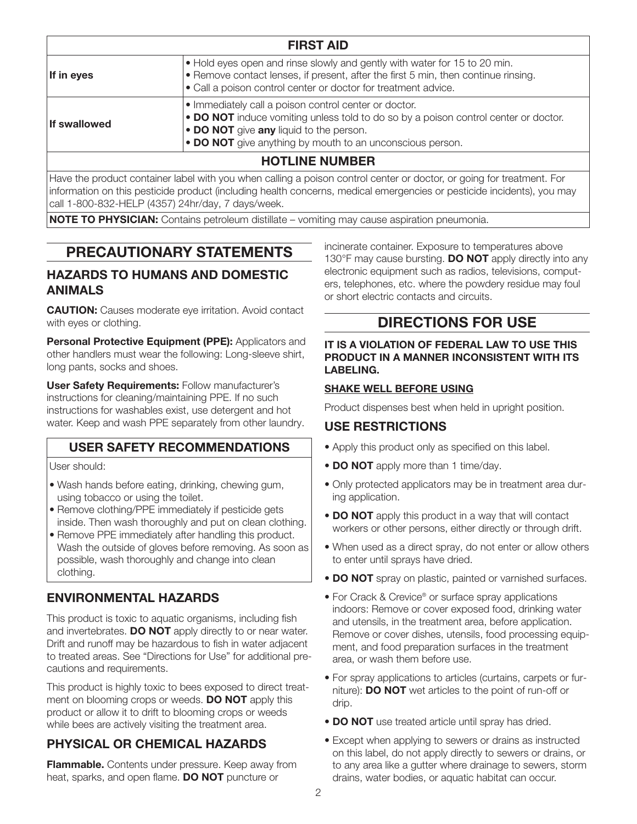| <b>FIRST AID</b>      |                                                                                                                                                                                                                                                      |
|-----------------------|------------------------------------------------------------------------------------------------------------------------------------------------------------------------------------------------------------------------------------------------------|
| If in eyes            | . Hold eyes open and rinse slowly and gently with water for 15 to 20 min.<br>• Remove contact lenses, if present, after the first 5 min, then continue rinsing.<br>• Call a poison control center or doctor for treatment advice.                    |
| <b>If swallowed</b>   | • Immediately call a poison control center or doctor.<br>• DO NOT induce vomiting unless told to do so by a poison control center or doctor.<br>• DO NOT give any liquid to the person.<br>• DO NOT give anything by mouth to an unconscious person. |
| <b>HOTLINE NUMBER</b> |                                                                                                                                                                                                                                                      |

Have the product container label with you when calling a poison control center or doctor, or going for treatment. For information on this pesticide product (including health concerns, medical emergencies or pesticide incidents), you may call 1-800-832-HELP (4357) 24hr/day, 7 days/week.

NOTE TO PHYSICIAN: Contains petroleum distillate – vomiting may cause aspiration pneumonia.

# PRECAUTIONARY STATEMENTS

### HAZARDS TO HUMANS AND DOMESTIC ANIMALS

**CAUTION:** Causes moderate eye irritation. Avoid contact with eyes or clothing.

Personal Protective Equipment (PPE): Applicators and other handlers must wear the following: Long-sleeve shirt, long pants, socks and shoes.

User Safety Requirements: Follow manufacturer's instructions for cleaning/maintaining PPE. If no such instructions for washables exist, use detergent and hot water. Keep and wash PPE separately from other laundry.

## USER SAFETY RECOMMENDATIONS

User should:

- Wash hands before eating, drinking, chewing gum, using tobacco or using the toilet.
- Remove clothing/PPE immediately if pesticide gets inside. Then wash thoroughly and put on clean clothing.
- Remove PPE immediately after handling this product. Wash the outside of gloves before removing. As soon as possible, wash thoroughly and change into clean clothing.

# ENVIRONMENTAL HAZARDS

This product is toxic to aquatic organisms, including fish and invertebrates. DO NOT apply directly to or near water. Drift and runoff may be hazardous to fish in water adjacent to treated areas. See "Directions for Use" for additional precautions and requirements.

This product is highly toxic to bees exposed to direct treatment on blooming crops or weeds. **DO NOT** apply this product or allow it to drift to blooming crops or weeds while bees are actively visiting the treatment area.

# PHYSICAL OR CHEMICAL HAZARDS

Flammable. Contents under pressure. Keep away from heat, sparks, and open flame. **DO NOT** puncture or

incinerate container. Exposure to temperatures above 130°F may cause bursting. **DO NOT** apply directly into any electronic equipment such as radios, televisions, computers, telephones, etc. where the powdery residue may foul or short electric contacts and circuits.

# DIRECTIONS FOR USE

#### IT IS A VIOLATION OF FEDERAL LAW TO USE THIS PRODUCT IN A MANNER INCONSISTENT WITH ITS LABELING.

#### SHAKE WELL BEFORE USING

Product dispenses best when held in upright position.

#### USE RESTRICTIONS

- Apply this product only as specified on this label.
- DO NOT apply more than 1 time/day.
- Only protected applicators may be in treatment area during application.
- DO NOT apply this product in a way that will contact workers or other persons, either directly or through drift.
- When used as a direct spray, do not enter or allow others to enter until sprays have dried.
- DO NOT spray on plastic, painted or varnished surfaces.
- For Crack & Crevice<sup>®</sup> or surface spray applications indoors: Remove or cover exposed food, drinking water and utensils, in the treatment area, before application. Remove or cover dishes, utensils, food processing equipment, and food preparation surfaces in the treatment area, or wash them before use.
- For spray applications to articles (curtains, carpets or furniture): DO NOT wet articles to the point of run-off or drip.
- DO NOT use treated article until spray has dried.
- Except when applying to sewers or drains as instructed on this label, do not apply directly to sewers or drains, or to any area like a gutter where drainage to sewers, storm drains, water bodies, or aquatic habitat can occur.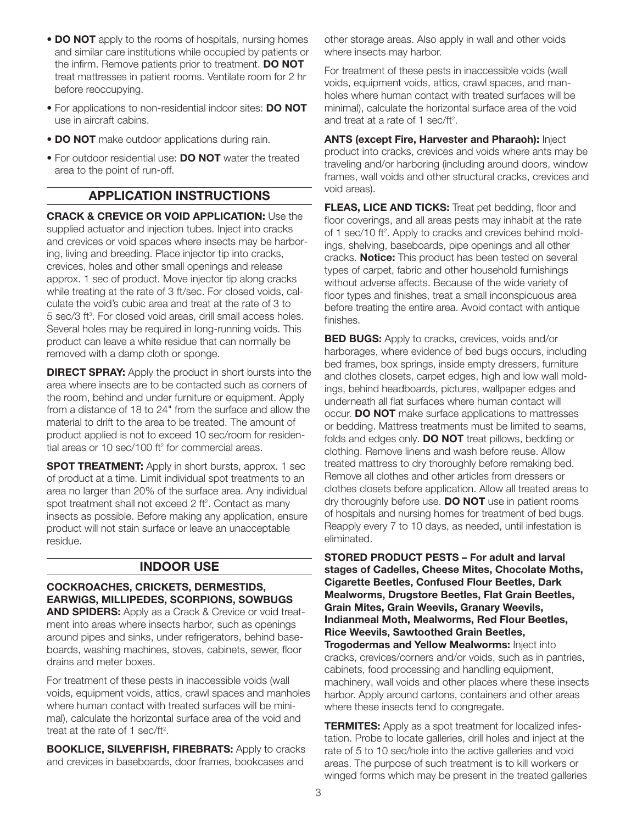- DO NOT apply to the rooms of hospitals, nursing homes and similar care institutions while occupied by patients or the infirm. Remove patients prior to treatment. DO NOT treat mattresses in patient rooms. Ventilate room for 2 hr before reoccupying.
- For applications to non-residential indoor sites: DO NOT use in aircraft cabins.
- DO NOT make outdoor applications during rain.
- For outdoor residential use: DO NOT water the treated area to the point of run-off.

## APPLICATION INSTRUCTIONS

CRACK & CREVICE OR VOID APPLICATION: Use the supplied actuator and injection tubes. Inject into cracks and crevices or void spaces where insects may be harboring, living and breeding. Place injector tip into cracks, crevices, holes and other small openings and release approx. 1 sec of product. Move injector tip along cracks while treating at the rate of 3 ft/sec. For closed voids, calculate the void's cubic area and treat at the rate of 3 to 5 sec/3 ft<sup>3</sup>. For closed void areas, drill small access holes. Several holes may be required in long-running voids. This product can leave a white residue that can normally be removed with a damp cloth or sponge.

**DIRECT SPRAY:** Apply the product in short bursts into the area where insects are to be contacted such as corners of the room, behind and under furniture or equipment. Apply from a distance of 18 to 24" from the surface and allow the material to drift to the area to be treated. The amount of product applied is not to exceed 10 sec/room for residential areas or 10 sec/100 ft $2$  for commercial areas.

**SPOT TREATMENT:** Apply in short bursts, approx. 1 sec of product at a time. Limit individual spot treatments to an area no larger than 20% of the surface area. Any individual spot treatment shall not exceed 2 ft<sup>2</sup>. Contact as many insects as possible. Before making any application, ensure product will not stain surface or leave an unacceptable residue.

# INDOOR USE

#### COCKROACHES, CRICKETS, DERMESTIDS, EARWIGS, MILLIPEDES, SCORPIONS, SOWBUGS

**AND SPIDERS:** Apply as a Crack & Crevice or void treatment into areas where insects harbor, such as openings around pipes and sinks, under refrigerators, behind baseboards, washing machines, stoves, cabinets, sewer, floor drains and meter boxes.

For treatment of these pests in inaccessible voids (wall voids, equipment voids, attics, crawl spaces and manholes where human contact with treated surfaces will be minimal), calculate the horizontal surface area of the void and treat at the rate of 1 sec/ft<sup>2</sup>.

**BOOKLICE, SILVERFISH, FIREBRATS: Apply to cracks** and crevices in baseboards, door frames, bookcases and

other storage areas. Also apply in wall and other voids where insects may harbor.

For treatment of these pests in inaccessible voids (wall voids, equipment voids, attics, crawl spaces, and manholes where human contact with treated surfaces will be minimal), calculate the horizontal surface area of the void and treat at a rate of 1 sec/ft<sup>2</sup>.

ANTS (except Fire, Harvester and Pharaoh): Inject product into cracks, crevices and voids where ants may be traveling and/or harboring (including around doors, window frames, wall voids and other structural cracks, crevices and void areas).

FLEAS, LICE AND TICKS: Treat pet bedding, floor and floor coverings, and all areas pests may inhabit at the rate of 1 sec/10 ft<sup>2</sup>. Apply to cracks and crevices behind moldings, shelving, baseboards, pipe openings and all other cracks. **Notice:** This product has been tested on several types of carpet, fabric and other household furnishings without adverse affects. Because of the wide variety of floor types and finishes, treat a small inconspicuous area before treating the entire area. Avoid contact with antique finishes.

**BED BUGS:** Apply to cracks, crevices, voids and/or harborages, where evidence of bed bugs occurs, including bed frames, box springs, inside empty dressers, furniture and clothes closets, carpet edges, high and low wall moldings, behind headboards, pictures, wallpaper edges and underneath all flat surfaces where human contact will occur. **DO NOT** make surface applications to mattresses or bedding. Mattress treatments must be limited to seams, folds and edges only. **DO NOT** treat pillows, bedding or clothing. Remove linens and wash before reuse. Allow treated mattress to dry thoroughly before remaking bed. Remove all clothes and other articles from dressers or clothes closets before application. Allow all treated areas to dry thoroughly before use. **DO NOT** use in patient rooms of hospitals and nursing homes for treatment of bed bugs. Reapply every 7 to 10 days, as needed, until infestation is eliminated.

STORED PRODUCT PESTS – For adult and larval stages of Cadelles, Cheese Mites, Chocolate Moths, Cigarette Beetles, Confused Flour Beetles, Dark Mealworms, Drugstore Beetles, Flat Grain Beetles, Grain Mites, Grain Weevils, Granary Weevils, Indianmeal Moth, Mealworms, Red Flour Beetles, Rice Weevils, Sawtoothed Grain Beetles, Trogodermas and Yellow Mealworms: Inject into cracks, crevices/corners and/or voids, such as in pantries, cabinets, food processing and handling equipment, machinery, wall voids and other places where these insects harbor. Apply around cartons, containers and other areas where these insects tend to congregate.

**TERMITES:** Apply as a spot treatment for localized infestation. Probe to locate galleries, drill holes and inject at the rate of 5 to 10 sec/hole into the active galleries and void areas. The purpose of such treatment is to kill workers or winged forms which may be present in the treated galleries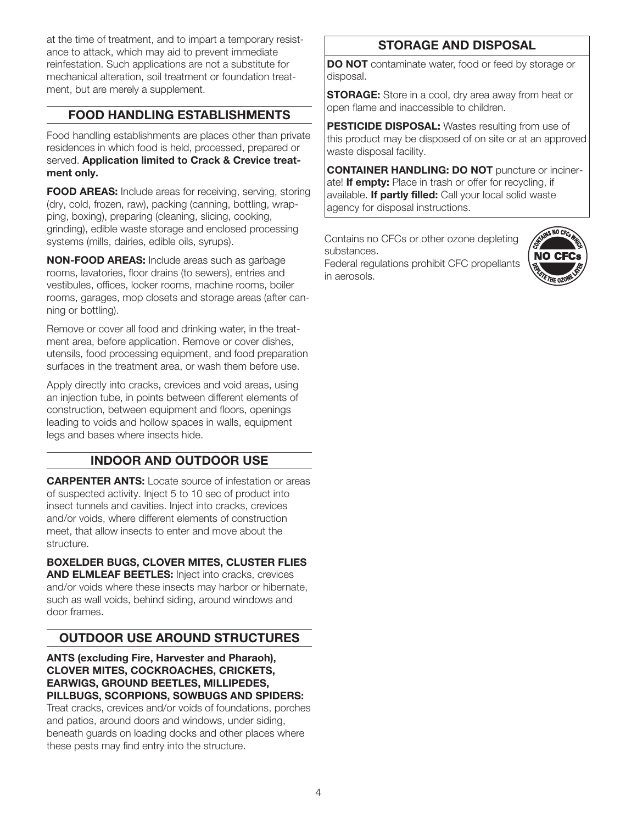at the time of treatment, and to impart a temporary resistance to attack, which may aid to prevent immediate reinfestation. Such applications are not a substitute for mechanical alteration, soil treatment or foundation treatment, but are merely a supplement.

# FOOD HANDLING ESTABLISHMENTS

Food handling establishments are places other than private residences in which food is held, processed, prepared or served. Application limited to Crack & Crevice treatment only.

**FOOD AREAS:** Include areas for receiving, serving, storing (dry, cold, frozen, raw), packing (canning, bottling, wrapping, boxing), preparing (cleaning, slicing, cooking, grinding), edible waste storage and enclosed processing systems (mills, dairies, edible oils, syrups).

NON-FOOD AREAS: Include areas such as garbage rooms, lavatories, floor drains (to sewers), entries and vestibules, offices, locker rooms, machine rooms, boiler rooms, garages, mop closets and storage areas (after canning or bottling).

Remove or cover all food and drinking water, in the treatment area, before application. Remove or cover dishes, utensils, food processing equipment, and food preparation surfaces in the treatment area, or wash them before use.

Apply directly into cracks, crevices and void areas, using an injection tube, in points between different elements of construction, between equipment and floors, openings leading to voids and hollow spaces in walls, equipment legs and bases where insects hide.

# INDOOR AND OUTDOOR USE

**CARPENTER ANTS:** Locate source of infestation or areas of suspected activity. Inject 5 to 10 sec of product into insect tunnels and cavities. Inject into cracks, crevices and/or voids, where different elements of construction meet, that allow insects to enter and move about the structure.

BOXELDER BUGS, CLOVER MITES, CLUSTER FLIES **AND ELMLEAF BEETLES:** Inject into cracks, crevices and/or voids where these insects may harbor or hibernate, such as wall voids, behind siding, around windows and door frames.

# OUTDOOR USE AROUND STRUCTURES

ANTS (excluding Fire, Harvester and Pharaoh), CLOVER MITES, COCKROACHES, CRICKETS, EARWIGS, GROUND BEETLES, MILLIPEDES, PILLBUGS, SCORPIONS, SOWBUGS AND SPIDERS:

Treat cracks, crevices and/or voids of foundations, porches and patios, around doors and windows, under siding, beneath guards on loading docks and other places where these pests may find entry into the structure.

# STORAGE AND DISPOSAL

DO NOT contaminate water, food or feed by storage or disposal.

**STORAGE:** Store in a cool, dry area away from heat or open flame and inaccessible to children.

PESTICIDE DISPOSAL: Wastes resulting from use of this product may be disposed of on site or at an approved waste disposal facility.

CONTAINER HANDLING: DO NOT puncture or incinerate! If empty: Place in trash or offer for recycling, if available. If partly filled: Call your local solid waste agency for disposal instructions.

Contains no CFCs or other ozone depleting substances. Federal regulations prohibit CFC propellants

in aerosols.